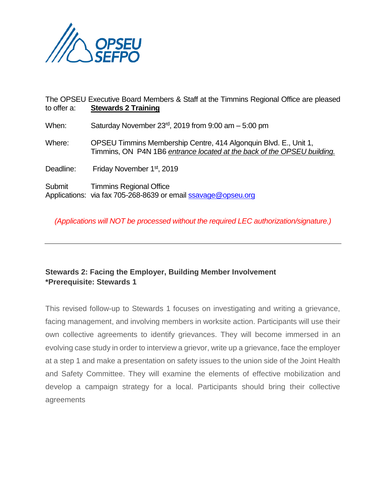

The OPSEU Executive Board Members & Staff at the Timmins Regional Office are pleased to offer a: **Stewards 2 Training** When: Saturday November 23rd, 2019 from 9:00 am – 5:00 pm Where: OPSEU Timmins Membership Centre, 414 Algonquin Blvd. E., Unit 1, Timmins, ON P4N 1B6 *entrance located at the back of the OPSEU building.* Deadline: Friday November 1<sup>st</sup>, 2019 Submit Timmins Regional Office Applications: via fax 705-268-8639 or email [ssavage@opseu.org](mailto:ssavage@opseu.org)

*(Applications will NOT be processed without the required LEC authorization/signature.)*

## **Stewards 2: Facing the Employer, Building Member Involvement \*Prerequisite: Stewards 1**

This revised follow-up to Stewards 1 focuses on investigating and writing a grievance, facing management, and involving members in worksite action. Participants will use their own collective agreements to identify grievances. They will become immersed in an evolving case study in order to interview a grievor, write up a grievance, face the employer at a step 1 and make a presentation on safety issues to the union side of the Joint Health and Safety Committee. They will examine the elements of effective mobilization and develop a campaign strategy for a local. Participants should bring their collective agreements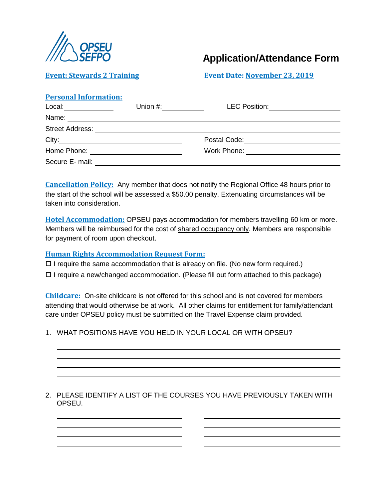

# **Application/Attendance Form**

### **Event: Stewards 2 Training Event Date: November 23, 2019**

#### **Personal Information:**

| Local: ______________ | Union #: $\frac{1}{2}$                                                                                               | LEC Position: ____________________          |
|-----------------------|----------------------------------------------------------------------------------------------------------------------|---------------------------------------------|
| Name:                 | <u> 1989 - Johann Barnett, fransk politiker (d. 1989)</u>                                                            |                                             |
|                       |                                                                                                                      |                                             |
| City:                 |                                                                                                                      | Postal Code: <u>_______________________</u> |
|                       |                                                                                                                      | Work Phone: ___________________________     |
| Secure E- mail:       | <u> 1989 - Johann Stein, marwolaethau a bhann an t-Amhainn an t-Amhainn an t-Amhainn an t-Amhainn an t-Amhainn a</u> |                                             |

**Cancellation Policy:** Any member that does not notify the Regional Office 48 hours prior to the start of the school will be assessed a \$50.00 penalty. Extenuating circumstances will be taken into consideration.

**Hotel Accommodation:** OPSEU pays accommodation for members travelling 60 km or more. Members will be reimbursed for the cost of shared occupancy only. Members are responsible for payment of room upon checkout.

#### **Human Rights Accommodation Request Form:**

 $\Box$  I require the same accommodation that is already on file. (No new form required.)

 $\Box$  I require a new/changed accommodation. (Please fill out form attached to this package)

**Childcare:** On-site childcare is not offered for this school and is not covered for members attending that would otherwise be at work. All other claims for entitlement for family/attendant care under OPSEU policy must be submitted on the Travel Expense claim provided.

1. WHAT POSITIONS HAVE YOU HELD IN YOUR LOCAL OR WITH OPSEU?

2. PLEASE IDENTIFY A LIST OF THE COURSES YOU HAVE PREVIOUSLY TAKEN WITH OPSEU.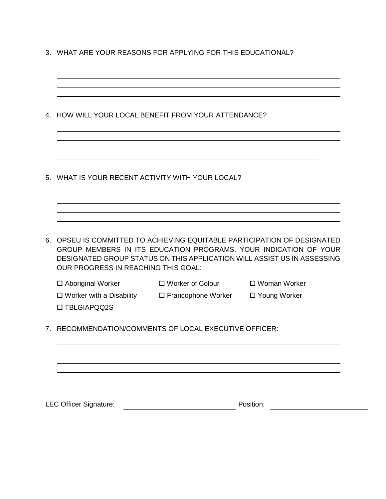3. WHAT ARE YOUR REASONS FOR APPLYING FOR THIS EDUCATIONAL?

|                                      | 4. HOW WILL YOUR LOCAL BENEFIT FROM YOUR ATTENDANCE?                                                |                                                                                                                                                                                                                         |
|--------------------------------------|-----------------------------------------------------------------------------------------------------|-------------------------------------------------------------------------------------------------------------------------------------------------------------------------------------------------------------------------|
|                                      | WHAT IS YOUR RECENT ACTIVITY WITH YOUR LOCAL?                                                       |                                                                                                                                                                                                                         |
| OUR PROGRESS IN REACHING THIS GOAL:  |                                                                                                     | 6. OPSEU IS COMMITTED TO ACHIEVING EQUITABLE PARTICIPATION OF DESIGNATED<br>GROUP MEMBERS IN ITS EDUCATION PROGRAMS. YOUR INDICATION OF YOUR<br>DESIGNATED GROUP STATUS ON THIS APPLICATION WILL ASSIST US IN ASSESSING |
| □ Aboriginal Worker<br>□ TBLGIAPQQ2S | □ Worker of Colour<br>$\Box$ Worker with a Disability $\Box$ Francophone Worker $\Box$ Young Worker | □ Woman Worker                                                                                                                                                                                                          |
|                                      | 7. RECOMMENDATION/COMMENTS OF LOCAL EXECUTIVE OFFICER:                                              |                                                                                                                                                                                                                         |
|                                      |                                                                                                     |                                                                                                                                                                                                                         |
| <b>LEC Officer Signature:</b>        |                                                                                                     | Position:                                                                                                                                                                                                               |